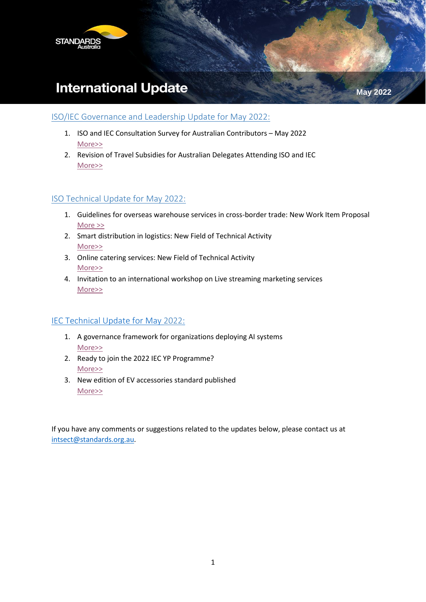

# **International Update**

### ISO/IEC Governance and Leadership Update for May 2022:

- 1. ISO and IEC Consultation Survey for Australian Contributors May 2022 [More>>](#page-1-0)
- 2. Revision of Travel Subsidies for Australian Delegates Attending ISO and IEC [More>>](#page-1-1)

### ISO Technical Update for May 2022:

- 1. Guidelines for overseas warehouse services in cross-border trade: New Work Item Proposal [More >>](#page-2-0)
- 2. Smart distribution in logistics: New Field of Technical Activity [More>>](#page-2-1)
- 3. Online catering services: New Field of Technical Activity [More>>](#page-3-0)
- 4. Invitation to an international workshop on Live streaming marketing services [More>>](#page-4-0)

### IEC Technical Update for May 2022:

- 1. A governance framework for organizations deploying AI systems [More>>](#page-5-0)
- 2. Ready to join the 2022 IEC YP Programme? [More>>](#page-5-1)
- 3. New edition of EV accessories standard published [More>>](#page-5-2)

If you have any comments or suggestions related to the updates below, please contact us at [intsect@standards.org.au.](mailto:intsect@standards.org.au)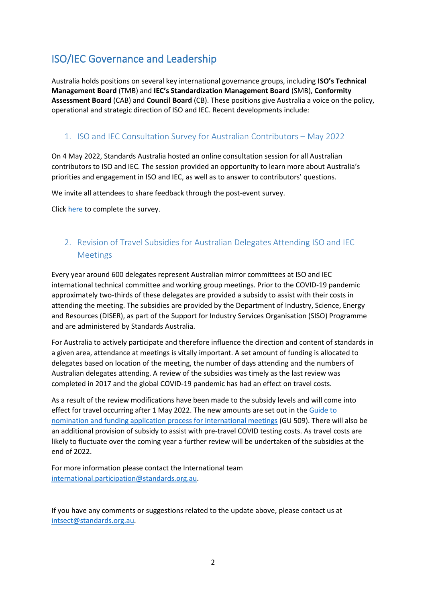## ISO/IEC Governance and Leadership

Australia holds positions on several key international governance groups, including **ISO's Technical Management Board** (TMB) and **IEC's Standardization Management Board** (SMB), **Conformity Assessment Board** (CAB) and **Council Board** (CB). These positions give Australia a voice on the policy, operational and strategic direction of ISO and IEC. Recent developments include:

## <span id="page-1-0"></span>1. ISO and IEC Consultation Survey for Australian Contributors – May 2022

On 4 May 2022, Standards Australia hosted an online consultation session for all Australian contributors to ISO and IEC. The session provided an opportunity to learn more about Australia's priorities and engagement in ISO and IEC, as well as to answer to contributors' questions.

We invite all attendees to share feedback through the post-event survey.

Click [here](https://standards.syd1.qualtrics.com/jfe/form/SV_bdfrwSjOh1qAJo2) to complete the survey.

## <span id="page-1-1"></span>2. Revision of Travel Subsidies for Australian Delegates Attending ISO and IEC **Meetings**

Every year around 600 delegates represent Australian mirror committees at ISO and IEC international technical committee and working group meetings. Prior to the COVID-19 pandemic approximately two-thirds of these delegates are provided a subsidy to assist with their costs in attending the meeting. The subsidies are provided by the Department of Industry, Science, Energy and Resources (DISER), as part of the Support for Industry Services Organisation (SISO) Programme and are administered by Standards Australia.

For Australia to actively participate and therefore influence the direction and content of standards in a given area, attendance at meetings is vitally important. A set amount of funding is allocated to delegates based on location of the meeting, the number of days attending and the numbers of Australian delegates attending. A review of the subsidies was timely as the last review was completed in 2017 and the global COVID-19 pandemic has had an effect on travel costs.

As a result of the review modifications have been made to the subsidy levels and will come into effect for travel occurring after 1 May 2022. The new amounts are set out in the Guide to [nomination and funding application process for international meetings](https://www.standards.org.au/getmedia/6492bd52-eb7f-45f4-aaa7-6a559d6076a1/Guide-to-nomination-and-funding-application-process-for-international-meetings.pdf.aspx) (GU 509). There will also be an additional provision of subsidy to assist with pre-travel COVID testing costs. As travel costs are likely to fluctuate over the coming year a further review will be undertaken of the subsidies at the end of 2022.

For more information please contact the International team [international.participation@standards.org.au.](mailto:international.participation@standards.org.au)

If you have any comments or suggestions related to the update above, please contact us at [intsect@standards.org.au.](mailto:intsect@standards.org.au)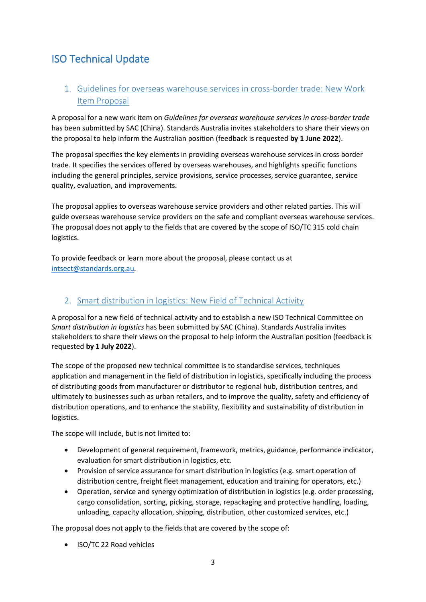## ISO Technical Update

## <span id="page-2-0"></span>1. Guidelines for overseas warehouse services in cross-border trade: New Work Item Proposal

A proposal for a new work item on *Guidelines for overseas warehouse services in cross-border trade* has been submitted by SAC (China). Standards Australia invites stakeholders to share their views on the proposal to help inform the Australian position (feedback is requested **by 1 June 2022**).

The proposal specifies the key elements in providing overseas warehouse services in cross border trade. It specifies the services offered by overseas warehouses, and highlights specific functions including the general principles, service provisions, service processes, service guarantee, service quality, evaluation, and improvements.

The proposal applies to overseas warehouse service providers and other related parties. This will guide overseas warehouse service providers on the safe and compliant overseas warehouse services. The proposal does not apply to the fields that are covered by the scope of ISO/TC 315 cold chain logistics.

To provide feedback or learn more about the proposal, please contact us at [intsect@standards.org.au.](mailto:intsect@standards.org.au)

## <span id="page-2-1"></span>2. Smart distribution in logistics: New Field of Technical Activity

A proposal for a new field of technical activity and to establish a new ISO Technical Committee on *Smart distribution in logistics* has been submitted by SAC (China). Standards Australia invites stakeholders to share their views on the proposal to help inform the Australian position (feedback is requested **by 1 July 2022**).

The scope of the proposed new technical committee is to standardise services, techniques application and management in the field of distribution in logistics, specifically including the process of distributing goods from manufacturer or distributor to regional hub, distribution centres, and ultimately to businesses such as urban retailers, and to improve the quality, safety and efficiency of distribution operations, and to enhance the stability, flexibility and sustainability of distribution in logistics.

The scope will include, but is not limited to:

- Development of general requirement, framework, metrics, guidance, performance indicator, evaluation for smart distribution in logistics, etc.
- Provision of service assurance for smart distribution in logistics (e.g. smart operation of distribution centre, freight fleet management, education and training for operators, etc.)
- Operation, service and synergy optimization of distribution in logistics (e.g. order processing, cargo consolidation, sorting, picking, storage, repackaging and protective handling, loading, unloading, capacity allocation, shipping, distribution, other customized services, etc.)

The proposal does not apply to the fields that are covered by the scope of:

• ISO/TC 22 Road vehicles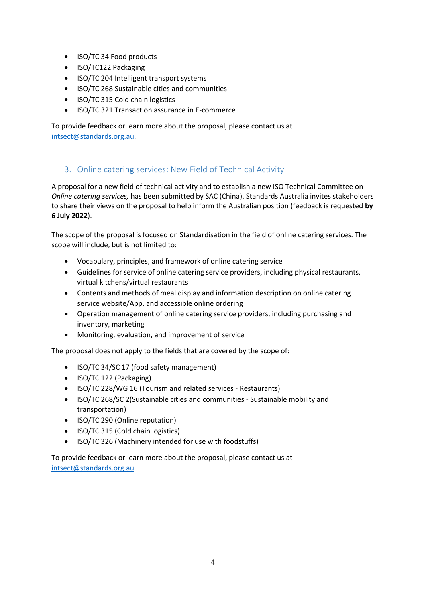- ISO/TC 34 Food products
- ISO/TC122 Packaging
- ISO/TC 204 Intelligent transport systems
- ISO/TC 268 Sustainable cities and communities
- ISO/TC 315 Cold chain logistics
- ISO/TC 321 Transaction assurance in E-commerce

To provide feedback or learn more about the proposal, please contact us at [intsect@standards.org.au.](mailto:intsect@standards.org.au)

### <span id="page-3-0"></span>3. Online catering services: New Field of Technical Activity

A proposal for a new field of technical activity and to establish a new ISO Technical Committee on *Online catering services,* has been submitted by SAC (China). Standards Australia invites stakeholders to share their views on the proposal to help inform the Australian position (feedback is requested **by 6 July 2022**).

The scope of the proposal is focused on Standardisation in the field of online catering services. The scope will include, but is not limited to:

- Vocabulary, principles, and framework of online catering service
- Guidelines for service of online catering service providers, including physical restaurants, virtual kitchens/virtual restaurants
- Contents and methods of meal display and information description on online catering service website/App, and accessible online ordering
- Operation management of online catering service providers, including purchasing and inventory, marketing
- Monitoring, evaluation, and improvement of service

The proposal does not apply to the fields that are covered by the scope of:

- ISO/TC 34/SC 17 (food safety management)
- ISO/TC 122 (Packaging)
- ISO/TC 228/WG 16 (Tourism and related services Restaurants)
- ISO/TC 268/SC 2(Sustainable cities and communities Sustainable mobility and transportation)
- ISO/TC 290 (Online reputation)
- ISO/TC 315 (Cold chain logistics)
- ISO/TC 326 (Machinery intended for use with foodstuffs)

To provide feedback or learn more about the proposal, please contact us at [intsect@standards.org.au.](mailto:intsect@standards.org.au)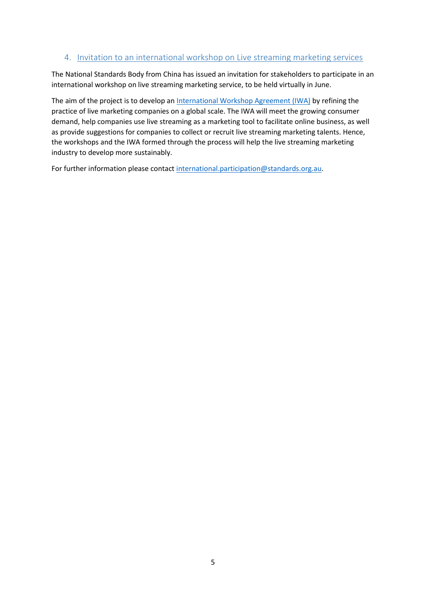#### <span id="page-4-0"></span>4. Invitation to an international workshop on Live streaming marketing services

The National Standards Body from China has issued an invitation for stakeholders to participate in an international workshop on live streaming marketing service, to be held virtually in June.

The aim of the project is to develop a[n International Workshop Agreement \(IWA\)](https://www.iso.org/deliverables-all.html#IWA) by refining the practice of live marketing companies on a global scale. The IWA will meet the growing consumer demand, help companies use live streaming as a marketing tool to facilitate online business, as well as provide suggestions for companies to collect or recruit live streaming marketing talents. Hence, the workshops and the IWA formed through the process will help the live streaming marketing industry to develop more sustainably.

For further information please contact [international.participation@standards.org.au.](mailto:international.participation@standards.org.au)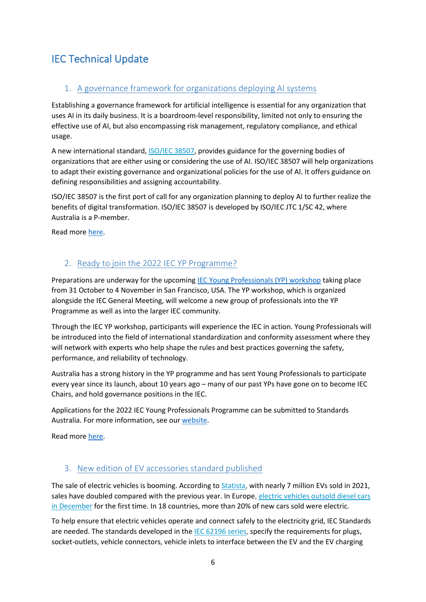## IEC Technical Update

## <span id="page-5-0"></span>1. A governance framework for organizations deploying AI systems

Establishing a governance framework for artificial intelligence is essential for any organization that uses AI in its daily business. It is a boardroom-level responsibility, limited not only to ensuring the effective use of AI, but also encompassing risk management, regulatory compliance, and ethical usage.

A new international standard, **ISO/IEC 38507**, provides guidance for the governing bodies of organizations that are either using or considering the use of AI. ISO/IEC 38507 will help organizations to adapt their existing governance and organizational policies for the use of AI. It offers guidance on defining responsibilities and assigning accountability.

ISO/IEC 38507 is the first port of call for any organization planning to deploy AI to further realize the benefits of digital transformation. ISO/IEC 38507 is developed by ISO/IEC JTC 1/SC 42, where Australia is a P-member.

Read more [here.](https://www.iec.ch/blog/governance-framework-organizations-deploying-ai-systems)

## <span id="page-5-1"></span>2. Ready to join the 2022 IEC YP Programme?

Preparations are underway for the upcomin[g IEC Young Professionals \(YP\) workshop](https://www.iec.ch/yps/yp-workshop) taking place from 31 October to 4 November in San Francisco, USA. The YP workshop, which is organized alongside the IEC General Meeting, will welcome a new group of professionals into the YP Programme as well as into the larger IEC community.

Through the IEC YP workshop, participants will experience the IEC in action. Young Professionals will be introduced into the field of international standardization and conformity assessment where they will network with experts who help shape the rules and best practices governing the safety, performance, and reliability of technology.

Australia has a strong history in the YP programme and has sent Young Professionals to participate every year since its launch, about 10 years ago – many of our past YPs have gone on to become IEC Chairs, and hold governance positions in the IEC.

Applications for the 2022 IEC Young Professionals Programme can be submitted to Standards Australia. For more information, see our [website.](https://www.standards.org.au/nextgen)

Read more [here.](https://www.iec.ch/blog/ready-join-2022-iec-yp-programme)

### <span id="page-5-2"></span>3. New edition of EV accessories standard published

The sale of electric vehicles is booming. According to [Statista,](https://www.statista.com/statistics/665774/global-sales-of-plug-in-light-vehicles/) with nearly 7 million EVs sold in 2021, sales have doubled compared with the previous year. In Europe, electric vehicles outsold diesel cars [in December](https://www.nytimes.com/2022/02/08/business/energy-environment/electric-cars-vehicles.html#:~:text=While%20electric%20vehicles%20still%20account,of%20battery%2Dpowered%20cars%20became) for the first time. In 18 countries, more than 20% of new cars sold were electric.

To help ensure that electric vehicles operate and connect safely to the electricity grid, IEC Standards are needed. The standards developed in the [IEC 62196 series,](https://webstore.iec.ch/searchform&q=62196*) specify the requirements for plugs, socket-outlets, vehicle connectors, vehicle inlets to interface between the EV and the EV charging